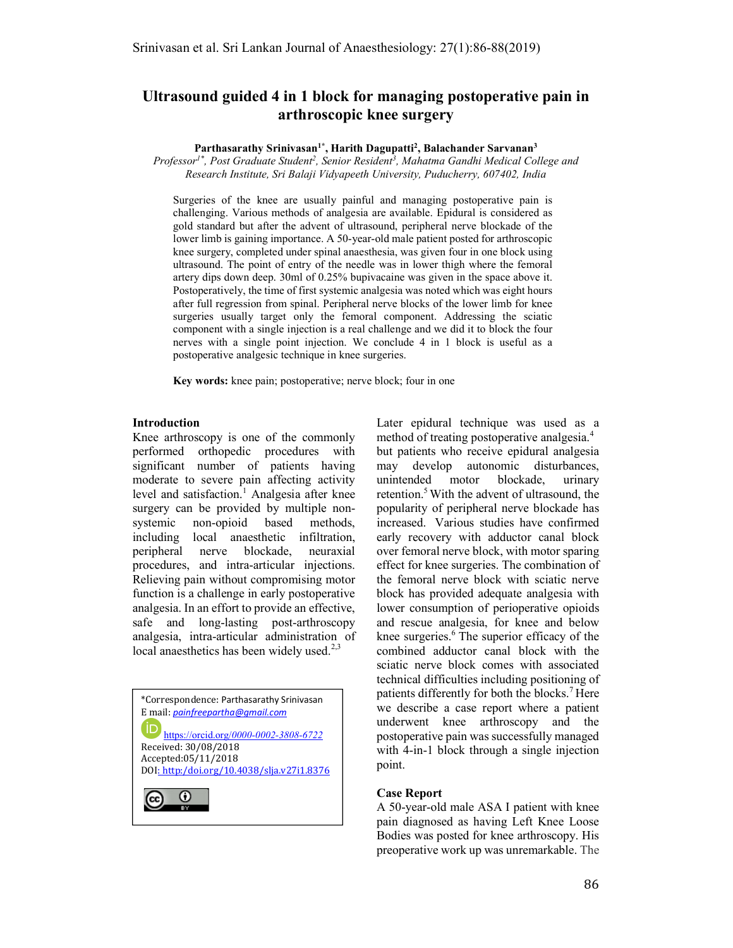# Ultrasound guided 4 in 1 block for managing postoperative pain in arthroscopic knee surgery

Parthasarathy Srinivasan<sup>1\*</sup>, Harith Dagupatti<sup>2</sup>, Balachander Sarvanan<sup>3</sup>

Professor<sup>1\*</sup>, Post Graduate Student<sup>2</sup>, Senior Resident<sup>3</sup>, Mahatma Gandhi Medical College and Research Institute, Sri Balaji Vidyapeeth University, Puducherry, 607402, India

Surgeries of the knee are usually painful and managing postoperative pain is challenging. Various methods of analgesia are available. Epidural is considered as gold standard but after the advent of ultrasound, peripheral nerve blockade of the lower limb is gaining importance. A 50-year-old male patient posted for arthroscopic knee surgery, completed under spinal anaesthesia, was given four in one block using ultrasound. The point of entry of the needle was in lower thigh where the femoral artery dips down deep. 30ml of 0.25% bupivacaine was given in the space above it. Postoperatively, the time of first systemic analgesia was noted which was eight hours after full regression from spinal. Peripheral nerve blocks of the lower limb for knee surgeries usually target only the femoral component. Addressing the sciatic component with a single injection is a real challenge and we did it to block the four nerves with a single point injection. We conclude 4 in 1 block is useful as a postoperative analgesic technique in knee surgeries.

Key words: knee pain; postoperative; nerve block; four in one

#### Introduction

 $\overline{a}$ 

Knee arthroscopy is one of the commonly performed orthopedic procedures with significant number of patients having moderate to severe pain affecting activity level and satisfaction.<sup>1</sup> Analgesia after knee surgery can be provided by multiple nonsystemic non-opioid based methods, including local anaesthetic infiltration, peripheral nerve blockade, neuraxial procedures, and intra-articular injections. Relieving pain without compromising motor function is a challenge in early postoperative analgesia. In an effort to provide an effective, safe and long-lasting post-arthroscopy analgesia, intra-articular administration of local anaesthetics has been widely used. $2,3$ 

\*Correspondence: Parthasarathy Srinivasan E mail: painfreepartha@gmail.com ID https://orcid.org/0000-0002-3808-6722 Received: 30/08/2018 Accepted:05/11/2018 DOI: http:/doi.org/10.4038/slja.v27i1.8376  $_{\odot}$ ļ

Later epidural technique was used as a method of treating postoperative analgesia.<sup>4</sup> but patients who receive epidural analgesia may develop autonomic disturbances, unintended motor blockade, urinary retention.<sup>5</sup> With the advent of ultrasound, the popularity of peripheral nerve blockade has increased. Various studies have confirmed early recovery with adductor canal block over femoral nerve block, with motor sparing effect for knee surgeries. The combination of the femoral nerve block with sciatic nerve block has provided adequate analgesia with lower consumption of perioperative opioids and rescue analgesia, for knee and below knee surgeries.<sup>6</sup> The superior efficacy of the combined adductor canal block with the sciatic nerve block comes with associated technical difficulties including positioning of patients differently for both the blocks.<sup>7</sup> Here we describe a case report where a patient underwent knee arthroscopy and the postoperative pain was successfully managed with 4-in-1 block through a single injection point.

## Case Report

A 50-year-old male ASA I patient with knee pain diagnosed as having Left Knee Loose Bodies was posted for knee arthroscopy. His preoperative work up was unremarkable. The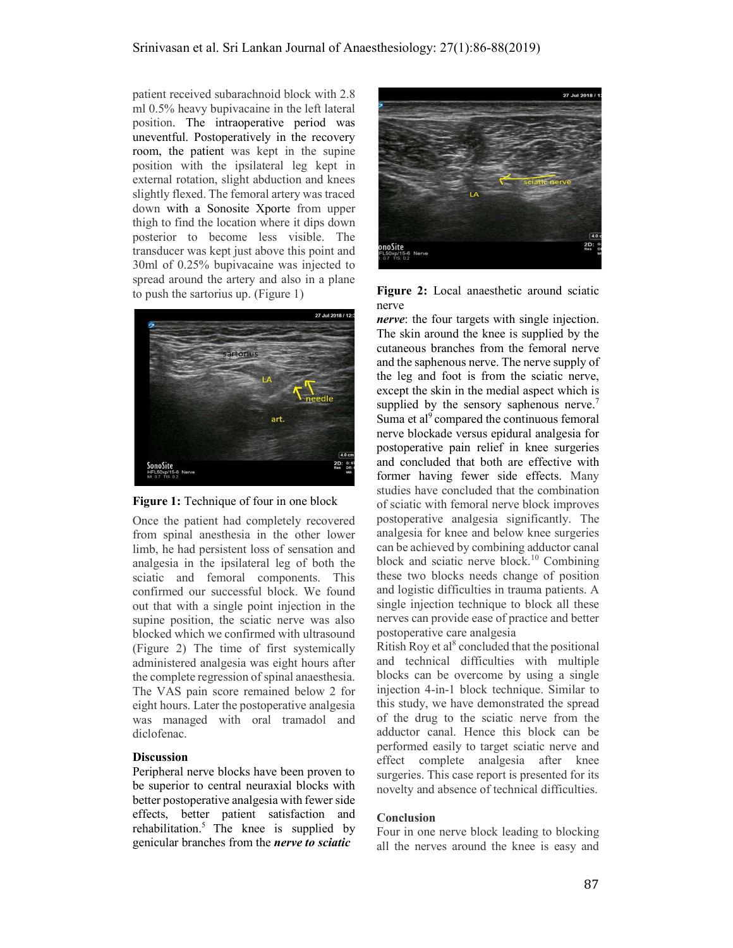patient received subarachnoid block with 2.8 ml 0.5% heavy bupivacaine in the left lateral position. The intraoperative period was uneventful. Postoperatively in the recovery room, the patient was kept in the supine position with the ipsilateral leg kept in external rotation, slight abduction and knees slightly flexed. The femoral artery was traced down with a Sonosite Xporte from upper thigh to find the location where it dips down posterior to become less visible. The transducer was kept just above this point and 30ml of 0.25% bupivacaine was injected to spread around the artery and also in a plane to push the sartorius up. (Figure 1)





Once the patient had completely recovered from spinal anesthesia in the other lower limb, he had persistent loss of sensation and analgesia in the ipsilateral leg of both the sciatic and femoral components. This confirmed our successful block. We found out that with a single point injection in the supine position, the sciatic nerve was also blocked which we confirmed with ultrasound (Figure 2) The time of first systemically administered analgesia was eight hours after the complete regression of spinal anaesthesia. The VAS pain score remained below 2 for eight hours. Later the postoperative analgesia was managed with oral tramadol and diclofenac.

#### **Discussion**

Peripheral nerve blocks have been proven to be superior to central neuraxial blocks with better postoperative analgesia with fewer side effects, better patient satisfaction and rehabilitation.<sup>5</sup> The knee is supplied by genicular branches from the nerve to sciatic



Figure 2: Local anaesthetic around sciatic nerve

nerve: the four targets with single injection. The skin around the knee is supplied by the cutaneous branches from the femoral nerve and the saphenous nerve. The nerve supply of the leg and foot is from the sciatic nerve, except the skin in the medial aspect which is supplied by the sensory saphenous nerve.<sup>7</sup> Suma et al<sup>9</sup> compared the continuous femoral nerve blockade versus epidural analgesia for postoperative pain relief in knee surgeries and concluded that both are effective with former having fewer side effects. Many studies have concluded that the combination of sciatic with femoral nerve block improves postoperative analgesia significantly. The analgesia for knee and below knee surgeries can be achieved by combining adductor canal block and sciatic nerve block.<sup>10</sup> Combining these two blocks needs change of position and logistic difficulties in trauma patients. A single injection technique to block all these nerves can provide ease of practice and better postoperative care analgesia

Ritish Roy et al<sup>8</sup> concluded that the positional and technical difficulties with multiple blocks can be overcome by using a single injection 4-in-1 block technique. Similar to this study, we have demonstrated the spread of the drug to the sciatic nerve from the adductor canal. Hence this block can be performed easily to target sciatic nerve and effect complete analgesia after knee surgeries. This case report is presented for its novelty and absence of technical difficulties.

## **Conclusion**

Four in one nerve block leading to blocking all the nerves around the knee is easy and